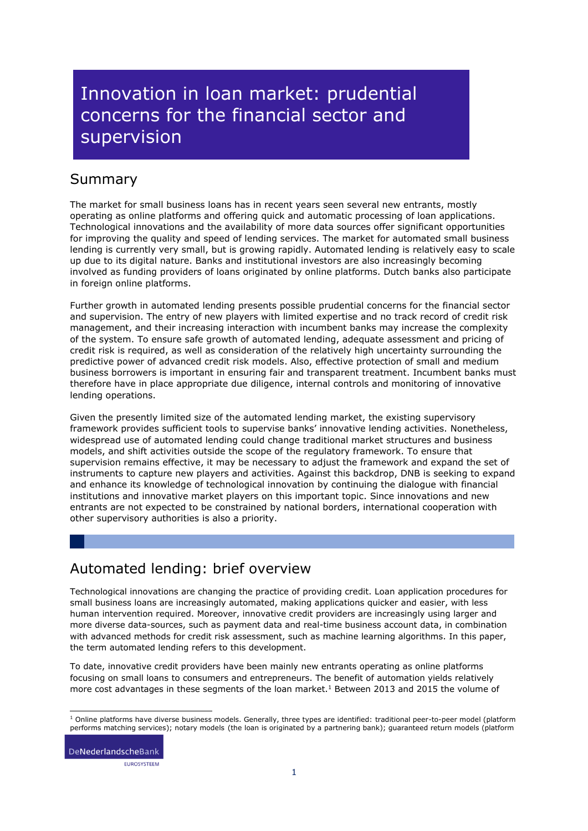# Innovation in loan market: prudential concerns for the financial sector and supervision

### Summary

The market for small business loans has in recent years seen several new entrants, mostly operating as online platforms and offering quick and automatic processing of loan applications. Technological innovations and the availability of more data sources offer significant opportunities for improving the quality and speed of lending services. The market for automated small business lending is currently very small, but is growing rapidly. Automated lending is relatively easy to scale up due to its digital nature. Banks and institutional investors are also increasingly becoming involved as funding providers of loans originated by online platforms. Dutch banks also participate in foreign online platforms.

Further growth in automated lending presents possible prudential concerns for the financial sector and supervision. The entry of new players with limited expertise and no track record of credit risk management, and their increasing interaction with incumbent banks may increase the complexity of the system. To ensure safe growth of automated lending, adequate assessment and pricing of credit risk is required, as well as consideration of the relatively high uncertainty surrounding the predictive power of advanced credit risk models. Also, effective protection of small and medium business borrowers is important in ensuring fair and transparent treatment. Incumbent banks must therefore have in place appropriate due diligence, internal controls and monitoring of innovative lending operations.

Given the presently limited size of the automated lending market, the existing supervisory framework provides sufficient tools to supervise banks' innovative lending activities. Nonetheless, widespread use of automated lending could change traditional market structures and business models, and shift activities outside the scope of the regulatory framework. To ensure that supervision remains effective, it may be necessary to adjust the framework and expand the set of instruments to capture new players and activities. Against this backdrop, DNB is seeking to expand and enhance its knowledge of technological innovation by continuing the dialogue with financial institutions and innovative market players on this important topic. Since innovations and new entrants are not expected to be constrained by national borders, international cooperation with other supervisory authorities is also a priority.

## Automated lending: brief overview

Technological innovations are changing the practice of providing credit. Loan application procedures for small business loans are increasingly automated, making applications quicker and easier, with less human intervention required. Moreover, innovative credit providers are increasingly using larger and more diverse data-sources, such as payment data and real-time business account data, in combination with advanced methods for credit risk assessment, such as machine learning algorithms. In this paper, the term automated lending refers to this development.

To date, innovative credit providers have been mainly new entrants operating as online platforms focusing on small loans to consumers and entrepreneurs. The benefit of automation yields relatively more cost advantages in these segments of the loan market.<sup>1</sup> Between 2013 and 2015 the volume of

DeNederlandscheBank EUROSYSTEEM

<sup>-</sup> $1$  Online platforms have diverse business models. Generally, three types are identified: traditional peer-to-peer model (platform performs matching services); notary models (the loan is originated by a partnering bank); guaranteed return models (platform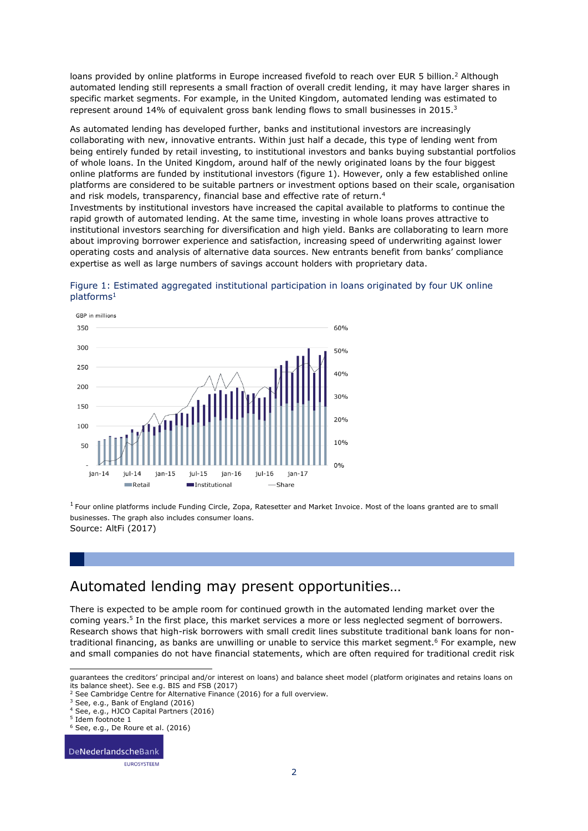loans provided by online platforms in Europe increased fivefold to reach over EUR 5 billion.<sup>2</sup> Although automated lending still represents a small fraction of overall credit lending, it may have larger shares in specific market segments. For example, in the United Kingdom, automated lending was estimated to represent around 14% of equivalent gross bank lending flows to small businesses in 2015.<sup>3</sup>

As automated lending has developed further, banks and institutional investors are increasingly collaborating with new, innovative entrants. Within just half a decade, this type of lending went from being entirely funded by retail investing, to institutional investors and banks buying substantial portfolios of whole loans. In the United Kingdom, around half of the newly originated loans by the four biggest online platforms are funded by institutional investors (figure 1). However, only a few established online platforms are considered to be suitable partners or investment options based on their scale, organisation and risk models, transparency, financial base and effective rate of return.<sup>4</sup>

Investments by institutional investors have increased the capital available to platforms to continue the rapid growth of automated lending. At the same time, investing in whole loans proves attractive to institutional investors searching for diversification and high yield. Banks are collaborating to learn more about improving borrower experience and satisfaction, increasing speed of underwriting against lower operating costs and analysis of alternative data sources. New entrants benefit from banks' compliance expertise as well as large numbers of savings account holders with proprietary data.





 $1$  Four online platforms include Funding Circle, Zopa, Ratesetter and Market Invoice. Most of the loans granted are to small businesses. The graph also includes consumer loans. Source: AltFi (2017)

### Automated lending may present opportunities…

There is expected to be ample room for continued growth in the automated lending market over the coming years. 5 In the first place, this market services a more or less neglected segment of borrowers. Research shows that high-risk borrowers with small credit lines substitute traditional bank loans for nontraditional financing, as banks are unwilling or unable to service this market segment.<sup>6</sup> For example, new and small companies do not have financial statements, which are often required for traditional credit risk

ł

DeNederlandscheBank EUROSYSTEEM

guarantees the creditors' principal and/or interest on loans) and balance sheet model (platform originates and retains loans on its balance sheet). See e.g. BIS and FSB (2017)

<sup>&</sup>lt;sup>2</sup> See Cambridge Centre for Alternative Finance (2016) for a full overview.

<sup>&</sup>lt;sup>3</sup> See, e.g., Bank of England (2016)

<sup>4</sup> See, e.g., HJCO Capital Partners (2016)

<sup>5</sup> Idem footnote 1

<sup>6</sup> See, e.g., De Roure et al. (2016)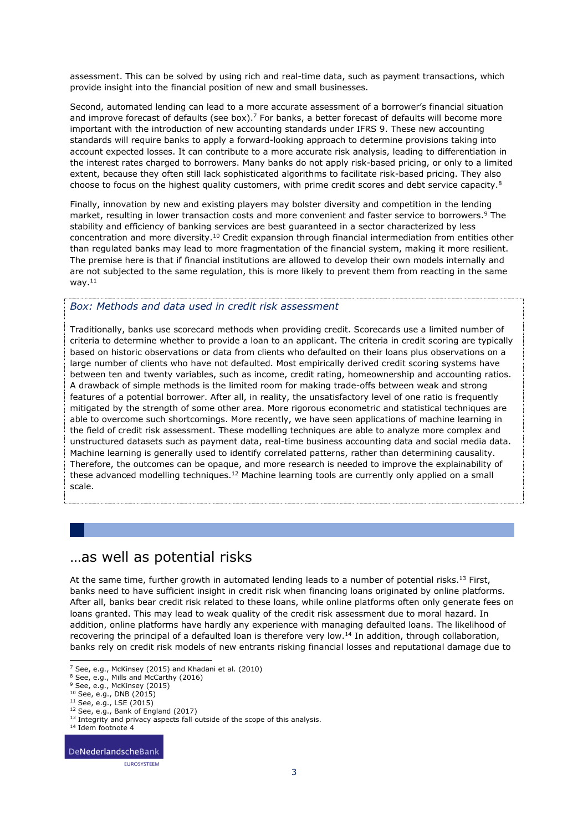assessment. This can be solved by using rich and real-time data, such as payment transactions, which provide insight into the financial position of new and small businesses.

Second, automated lending can lead to a more accurate assessment of a borrower's financial situation and improve forecast of defaults (see box).<sup>7</sup> For banks, a better forecast of defaults will become more important with the introduction of new accounting standards under IFRS 9. These new accounting standards will require banks to apply a forward-looking approach to determine provisions taking into account expected losses. It can contribute to a more accurate risk analysis, leading to differentiation in the interest rates charged to borrowers. Many banks do not apply risk-based pricing, or only to a limited extent, because they often still lack sophisticated algorithms to facilitate risk-based pricing. They also choose to focus on the highest quality customers, with prime credit scores and debt service capacity.<sup>8</sup>

Finally, innovation by new and existing players may bolster diversity and competition in the lending market, resulting in lower transaction costs and more convenient and faster service to borrowers. <sup>9</sup> The stability and efficiency of banking services are best guaranteed in a sector characterized by less concentration and more diversity.<sup>10</sup> Credit expansion through financial intermediation from entities other than regulated banks may lead to more fragmentation of the financial system, making it more resilient. The premise here is that if financial institutions are allowed to develop their own models internally and are not subjected to the same regulation, this is more likely to prevent them from reacting in the same way.<sup>11</sup>

#### *Box: Methods and data used in credit risk assessment*

Traditionally, banks use scorecard methods when providing credit. Scorecards use a limited number of criteria to determine whether to provide a loan to an applicant. The criteria in credit scoring are typically based on historic observations or data from clients who defaulted on their loans plus observations on a large number of clients who have not defaulted. Most empirically derived credit scoring systems have between ten and twenty variables, such as income, credit rating, homeownership and accounting ratios. A drawback of simple methods is the limited room for making trade-offs between weak and strong features of a potential borrower. After all, in reality, the unsatisfactory level of one ratio is frequently mitigated by the strength of some other area. More rigorous econometric and statistical techniques are able to overcome such shortcomings. More recently, we have seen applications of machine learning in the field of credit risk assessment. These modelling techniques are able to analyze more complex and unstructured datasets such as payment data, real-time business accounting data and social media data. Machine learning is generally used to identify correlated patterns, rather than determining causality. Therefore, the outcomes can be opaque, and more research is needed to improve the explainability of these advanced modelling techniques.<sup>12</sup> Machine learning tools are currently only applied on a small scale.

### …as well as potential risks

At the same time, further growth in automated lending leads to a number of potential risks.<sup>13</sup> First, banks need to have sufficient insight in credit risk when financing loans originated by online platforms. After all, banks bear credit risk related to these loans, while online platforms often only generate fees on loans granted. This may lead to weak quality of the credit risk assessment due to moral hazard. In addition, online platforms have hardly any experience with managing defaulted loans. The likelihood of recovering the principal of a defaulted loan is therefore very low.<sup>14</sup> In addition, through collaboration, banks rely on credit risk models of new entrants risking financial losses and reputational damage due to

1

<sup>&</sup>lt;sup>7</sup> See, e.g., McKinsey (2015) and Khadani et al. (2010)

<sup>8</sup> See, e.g., Mills and McCarthy (2016)

<sup>&</sup>lt;sup>9</sup> See, e.g., McKinsey (2015)

<sup>10</sup> See, e.g., DNB (2015)

<sup>11</sup> See, e.g., LSE (2015)

<sup>12</sup> See, e.g., Bank of England (2017)

<sup>&</sup>lt;sup>13</sup> Integrity and privacy aspects fall outside of the scope of this analysis.

<sup>14</sup> Idem footnote 4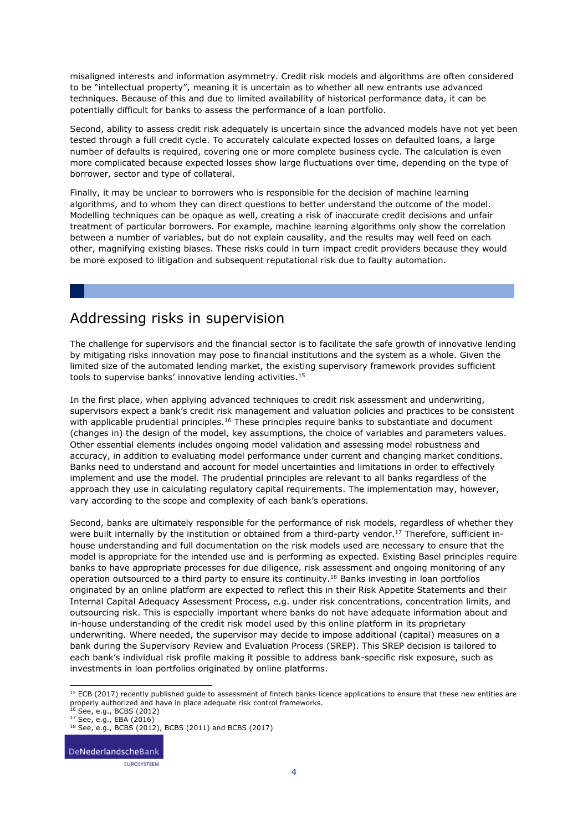misaligned interests and information asymmetry. Credit risk models and algorithms are often considered to be "intellectual property", meaning it is uncertain as to whether all new entrants use advanced techniques. Because of this and due to limited availability of historical performance data, it can be potentially difficult for banks to assess the performance of a loan portfolio.

Second, ability to assess credit risk adequately is uncertain since the advanced models have not yet been tested through a full credit cycle. To accurately calculate expected losses on defaulted loans, a large number of defaults is required, covering one or more complete business cycle. The calculation is even more complicated because expected losses show large fluctuations over time, depending on the type of borrower, sector and type of collateral.

Finally, it may be unclear to borrowers who is responsible for the decision of machine learning algorithms, and to whom they can direct questions to better understand the outcome of the model. Modelling techniques can be opaque as well, creating a risk of inaccurate credit decisions and unfair treatment of particular borrowers. For example, machine learning algorithms only show the correlation between a number of variables, but do not explain causality, and the results may well feed on each other, magnifying existing biases. These risks could in turn impact credit providers because they would be more exposed to litigation and subsequent reputational risk due to faulty automation.

### Addressing risks in supervision

The challenge for supervisors and the financial sector is to facilitate the safe growth of innovative lending by mitigating risks innovation may pose to financial institutions and the system as a whole. Given the limited size of the automated lending market, the existing supervisory framework provides sufficient tools to supervise banks' innovative lending activities.<sup>15</sup>

In the first place, when applying advanced techniques to credit risk assessment and underwriting, supervisors expect a bank's credit risk management and valuation policies and practices to be consistent with applicable prudential principles.<sup>16</sup> These principles require banks to substantiate and document (changes in) the design of the model, key assumptions, the choice of variables and parameters values. Other essential elements includes ongoing model validation and assessing model robustness and accuracy, in addition to evaluating model performance under current and changing market conditions. Banks need to understand and account for model uncertainties and limitations in order to effectively implement and use the model. The prudential principles are relevant to all banks regardless of the approach they use in calculating regulatory capital requirements. The implementation may, however, vary according to the scope and complexity of each bank's operations.

Second, banks are ultimately responsible for the performance of risk models, regardless of whether they were built internally by the institution or obtained from a third-party vendor.<sup>17</sup> Therefore, sufficient inhouse understanding and full documentation on the risk models used are necessary to ensure that the model is appropriate for the intended use and is performing as expected. Existing Basel principles require banks to have appropriate processes for due diligence, risk assessment and ongoing monitoring of any operation outsourced to a third party to ensure its continuity.<sup>18</sup> Banks investing in loan portfolios originated by an online platform are expected to reflect this in their Risk Appetite Statements and their Internal Capital Adequacy Assessment Process, e.g. under risk concentrations, concentration limits, and outsourcing risk. This is especially important where banks do not have adequate information about and in-house understanding of the credit risk model used by this online platform in its proprietary underwriting. Where needed, the supervisor may decide to impose additional (capital) measures on a bank during the Supervisory Review and Evaluation Process (SREP). This SREP decision is tailored to each bank's individual risk profile making it possible to address bank-specific risk exposure, such as investments in loan portfolios originated by online platforms.

DeNederlandscheBank EUROSYSTEEM

<sup>1</sup> <sup>15</sup> ECB (2017) recently published quide to assessment of fintech banks licence applications to ensure that these new entities are properly authorized and have in place adequate risk control frameworks.<br><sup>16</sup> See, e.g., BCBS (2012)

<sup>17</sup> See, e.g., EBA (2016)

<sup>18</sup> See, e.g., BCBS (2012), BCBS (2011) and BCBS (2017)